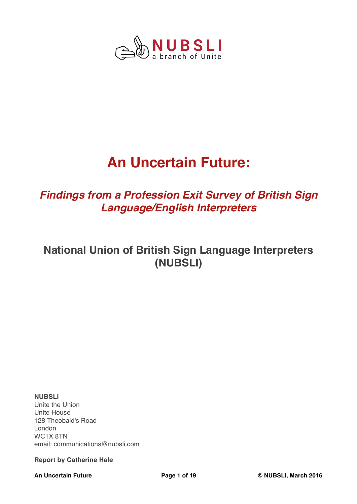

# **An Uncertain Future:**

# *Findings from a Profession Exit Survey of British Sign Language/English Interpreters*

# **National Union of British Sign Language Interpreters (NUBSLI)**

**NUBSLI** Unite the Union Unite House 128 Theobald's Road London WC1X 8TN email: communications@nubsli.com

## **Report by Catherine Hale**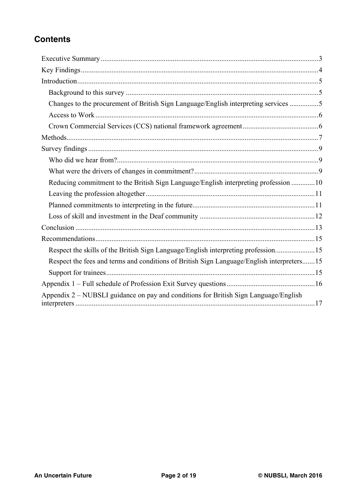# **Contents**

| Changes to the procurement of British Sign Language/English interpreting services 5       |  |
|-------------------------------------------------------------------------------------------|--|
|                                                                                           |  |
|                                                                                           |  |
|                                                                                           |  |
|                                                                                           |  |
|                                                                                           |  |
|                                                                                           |  |
| Reducing commitment to the British Sign Language/English interpreting profession  10      |  |
|                                                                                           |  |
|                                                                                           |  |
|                                                                                           |  |
|                                                                                           |  |
|                                                                                           |  |
| Respect the skills of the British Sign Language/English interpreting profession15         |  |
| Respect the fees and terms and conditions of British Sign Language/English interpreters15 |  |
|                                                                                           |  |
|                                                                                           |  |
| Appendix 2 – NUBSLI guidance on pay and conditions for British Sign Language/English      |  |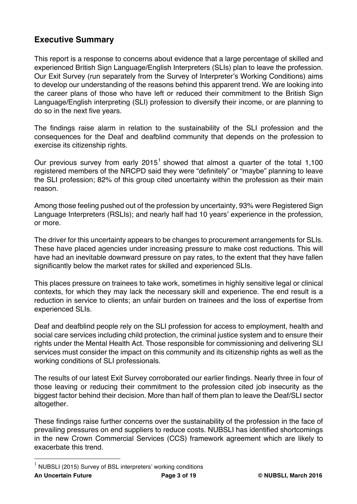# **Executive Summary**

This report is a response to concerns about evidence that a large percentage of skilled and experienced British Sign Language/English Interpreters (SLIs) plan to leave the profession. Our Exit Survey (run separately from the Survey of Interpreter's Working Conditions) aims to develop our understanding of the reasons behind this apparent trend. We are looking into the career plans of those who have left or reduced their commitment to the British Sign Language/English interpreting (SLI) profession to diversify their income, or are planning to do so in the next five years.

The findings raise alarm in relation to the sustainability of the SLI profession and the consequences for the Deaf and deafblind community that depends on the profession to exercise its citizenship rights.

Our previous survey from early  $2015<sup>1</sup>$  showed that almost a quarter of the total 1,100 registered members of the NRCPD said they were "definitely" or "maybe" planning to leave the SLI profession; 82% of this group cited uncertainty within the profession as their main reason.

Among those feeling pushed out of the profession by uncertainty, 93% were Registered Sign Language Interpreters (RSLIs); and nearly half had 10 years' experience in the profession, or more.

The driver for this uncertainty appears to be changes to procurement arrangements for SLIs. These have placed agencies under increasing pressure to make cost reductions. This will have had an inevitable downward pressure on pay rates, to the extent that they have fallen significantly below the market rates for skilled and experienced SLIs.

This places pressure on trainees to take work, sometimes in highly sensitive legal or clinical contexts, for which they may lack the necessary skill and experience. The end result is a reduction in service to clients; an unfair burden on trainees and the loss of expertise from experienced SLIs.

Deaf and deafblind people rely on the SLI profession for access to employment, health and social care services including child protection, the criminal justice system and to ensure their rights under the Mental Health Act. Those responsible for commissioning and delivering SLI services must consider the impact on this community and its citizenship rights as well as the working conditions of SLI professionals.

The results of our latest Exit Survey corroborated our earlier findings. Nearly three in four of those leaving or reducing their commitment to the profession cited job insecurity as the biggest factor behind their decision. More than half of them plan to leave the Deaf/SLI sector altogether.

These findings raise further concerns over the sustainability of the profession in the face of prevailing pressures on end suppliers to reduce costs. NUBSLI has identified shortcomings in the new Crown Commercial Services (CCS) framework agreement which are likely to exacerbate this trend.

**An Uncertain Future Page 3 of 19 © NUBSLI, March 2016** 1 NUBSLI (2015) Survey of BSL interpreters' working conditions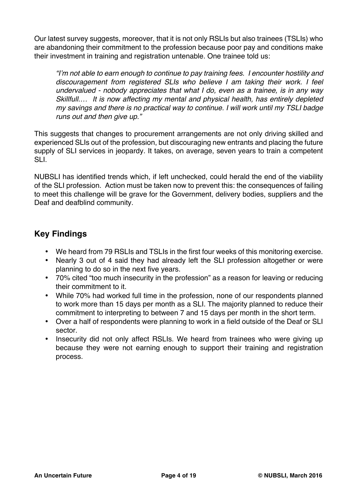Our latest survey suggests, moreover, that it is not only RSLIs but also trainees (TSLIs) who are abandoning their commitment to the profession because poor pay and conditions make their investment in training and registration untenable. One trainee told us:

*"I'm not able to earn enough to continue to pay training fees. I encounter hostility and discouragement from registered SLIs who believe I am taking their work. I feel undervalued - nobody appreciates that what I do, even as a trainee, is in any way Skillfull.… It is now affecting my mental and physical health, has entirely depleted my savings and there is no practical way to continue. I will work until my TSLI badge runs out and then give up."*

This suggests that changes to procurement arrangements are not only driving skilled and experienced SLIs out of the profession, but discouraging new entrants and placing the future supply of SLI services in jeopardy. It takes, on average, seven years to train a competent SLI.

NUBSLI has identified trends which, if left unchecked, could herald the end of the viability of the SLI profession. Action must be taken now to prevent this: the consequences of failing to meet this challenge will be grave for the Government, delivery bodies, suppliers and the Deaf and deafblind community.

# **Key Findings**

- We heard from 79 RSLIs and TSLIs in the first four weeks of this monitoring exercise.
- Nearly 3 out of 4 said they had already left the SLI profession altogether or were planning to do so in the next five years.
- 70% cited "too much insecurity in the profession" as a reason for leaving or reducing their commitment to it.
- While 70% had worked full time in the profession, none of our respondents planned to work more than 15 days per month as a SLI. The majority planned to reduce their commitment to interpreting to between 7 and 15 days per month in the short term.
- Over a half of respondents were planning to work in a field outside of the Deaf or SLI sector.
- Insecurity did not only affect RSLIs. We heard from trainees who were giving up because they were not earning enough to support their training and registration process.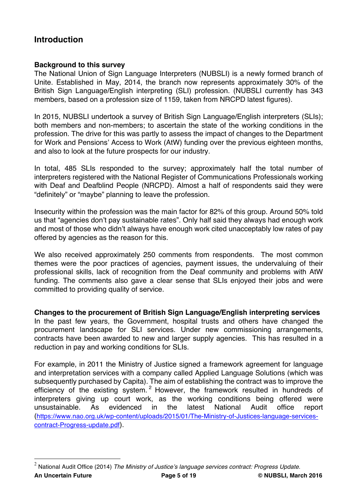# **Introduction**

# **Background to this survey**

The National Union of Sign Language Interpreters (NUBSLI) is a newly formed branch of Unite. Established in May, 2014, the branch now represents approximately 30% of the British Sign Language/English interpreting (SLI) profession. (NUBSLI currently has 343 members, based on a profession size of 1159, taken from NRCPD latest figures).

In 2015, NUBSLI undertook a survey of British Sign Language/English interpreters (SLIs); both members and non-members; to ascertain the state of the working conditions in the profession. The drive for this was partly to assess the impact of changes to the Department for Work and Pensions' Access to Work (AtW) funding over the previous eighteen months, and also to look at the future prospects for our industry.

In total, 485 SLIs responded to the survey; approximately half the total number of interpreters registered with the National Register of Communications Professionals working with Deaf and Deafblind People (NRCPD). Almost a half of respondents said they were "definitely" or "maybe" planning to leave the profession.

Insecurity within the profession was the main factor for 82% of this group. Around 50% told us that "agencies don't pay sustainable rates". Only half said they always had enough work and most of those who didn't always have enough work cited unacceptably low rates of pay offered by agencies as the reason for this.

We also received approximately 250 comments from respondents. The most common themes were the poor practices of agencies, payment issues, the undervaluing of their professional skills, lack of recognition from the Deaf community and problems with AtW funding. The comments also gave a clear sense that SLIs enjoyed their jobs and were committed to providing quality of service.

**Changes to the procurement of British Sign Language/English interpreting services** In the past few years, the Government, hospital trusts and others have changed the procurement landscape for SLI services. Under new commissioning arrangements, contracts have been awarded to new and larger supply agencies. This has resulted in a reduction in pay and working conditions for SLIs.

For example, in 2011 the Ministry of Justice signed a framework agreement for language and interpretation services with a company called Applied Language Solutions (which was subsequently purchased by Capita). The aim of establishing the contract was to improve the efficiency of the existing system.<sup>2</sup> However, the framework resulted in hundreds of interpreters giving up court work, as the working conditions being offered were unsustainable. As evidenced in the latest National Audit office report (https://www.nao.org.uk/wp-content/uploads/2015/01/The-Ministry-of-Justices-language-servicescontract-Progress-update.pdf).

**An Uncertain Future Page 5 of 19 © NUBSLI, March 2016** 2 National Audit Office (2014) *The Ministry of Justice's language services contract: Progress Update.*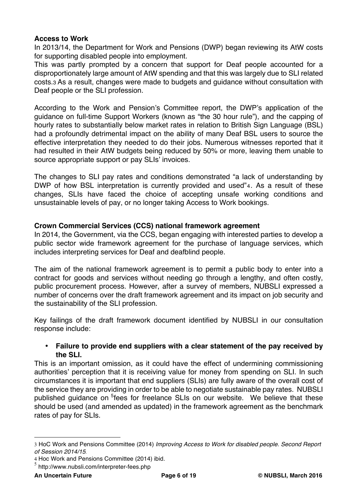# **Access to Work**

In 2013/14, the Department for Work and Pensions (DWP) began reviewing its AtW costs for supporting disabled people into employment.

This was partly prompted by a concern that support for Deaf people accounted for a disproportionately large amount of AtW spending and that this was largely due to SLI related costs.3 As a result, changes were made to budgets and guidance without consultation with Deaf people or the SLI profession.

According to the Work and Pension's Committee report, the DWP's application of the guidance on full-time Support Workers (known as "the 30 hour rule"), and the capping of hourly rates to substantially below market rates in relation to British Sign Language (BSL) had a profoundly detrimental impact on the ability of many Deaf BSL users to source the effective interpretation they needed to do their jobs. Numerous witnesses reported that it had resulted in their AtW budgets being reduced by 50% or more, leaving them unable to source appropriate support or pay SLIs' invoices.

The changes to SLI pay rates and conditions demonstrated "a lack of understanding by DWP of how BSL interpretation is currently provided and used"4. As a result of these changes, SLIs have faced the choice of accepting unsafe working conditions and unsustainable levels of pay, or no longer taking Access to Work bookings.

# **Crown Commercial Services (CCS) national framework agreement**

In 2014, the Government, via the CCS, began engaging with interested parties to develop a public sector wide framework agreement for the purchase of language services, which includes interpreting services for Deaf and deafblind people.

The aim of the national framework agreement is to permit a public body to enter into a contract for goods and services without needing go through a lengthy, and often costly, public procurement process. However, after a survey of members, NUBSLI expressed a number of concerns over the draft framework agreement and its impact on job security and the sustainability of the SLI profession.

Key failings of the draft framework document identified by NUBSLI in our consultation response include:

# • **Failure to provide end suppliers with a clear statement of the pay received by the SLI.**

This is an important omission, as it could have the effect of undermining commissioning authorities' perception that it is receiving value for money from spending on SLI. In such circumstances it is important that end suppliers (SLIs) are fully aware of the overall cost of the service they are providing in order to be able to negotiate sustainable pay rates. NUBSLI published guidance on <sup>5</sup>fees for freelance SLIs on our website. We believe that these should be used (and amended as updated) in the framework agreement as the benchmark rates of pay for SLIs.

 $\overline{a}$ 

<sup>3</sup> HoC Work and Pensions Committee (2014) *Improving Access to Work for disabled people. Second Report of Session 2014/15.*

<sup>4</sup> Hoc Work and Pensions Committee (2014) ibid.

<sup>5</sup> http://www.nubsli.com/interpreter-fees.php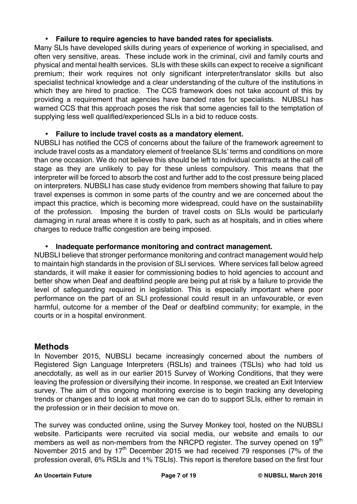# • **Failure to require agencies to have banded rates for specialists**.

Many SLIs have developed skills during years of experience of working in specialised, and often very sensitive, areas. These include work in the criminal, civil and family courts and physical and mental health services. SLIs with these skills can expect to receive a significant premium; their work requires not only significant interpreter/translator skills but also specialist technical knowledge and a clear understanding of the culture of the institutions in which they are hired to practice. The CCS framework does not take account of this by providing a requirement that agencies have banded rates for specialists. NUBSLI has warned CCS that this approach poses the risk that some agencies fall to the temptation of supplying less well qualified/experienced SLIs in a bid to reduce costs.

# • **Failure to include travel costs as a mandatory element.**

NUBSLI has notified the CCS of concerns about the failure of the framework agreement to include travel costs as a mandatory element of freelance SLIs' terms and conditions on more than one occasion. We do not believe this should be left to individual contracts at the call off stage as they are unlikely to pay for these unless compulsory. This means that the interpreter will be forced to absorb the cost and further add to the cost pressure being placed on interpreters. NUBSLI has case study evidence from members showing that failure to pay travel expenses is common in some parts of the country and we are concerned about the impact this practice, which is becoming more widespread, could have on the sustainability of the profession. Imposing the burden of travel costs on SLIs would be particularly damaging in rural areas where it is costly to park, such as at hospitals, and in cities where charges to reduce traffic congestion are being imposed.

# • **Inadequate performance monitoring and contract management.**

NUBSLI believe that stronger performance monitoring and contract management would help to maintain high standards in the provision of SLI services. Where services fall below agreed standards, it will make it easier for commissioning bodies to hold agencies to account and better show when Deaf and deafblind people are being put at risk by a failure to provide the level of safeguarding required in legislation. This is especially important where poor performance on the part of an SLI professional could result in an unfavourable, or even harmful, outcome for a member of the Deaf or deafblind community; for example, in the courts or in a hospital environment.

# **Methods**

In November 2015, NUBSLI became increasingly concerned about the numbers of Registered Sign Language Interpreters (RSLIs) and trainees (TSLIs) who had told us anecdotally, as well as in our earlier 2015 Survey of Working Conditions, that they were leaving the profession or diversifying their income. In response, we created an Exit Interview survey. The aim of this ongoing monitoring exercise is to begin tracking any developing trends or changes and to look at what more we can do to support SLIs, either to remain in the profession or in their decision to move on.

The survey was conducted online, using the Survey Monkey tool, hosted on the NUBSLI website. Participants were recruited via social media, our website and emails to our members as well as non-members from the NRCPD register. The survey opened on 19<sup>th</sup> November 2015 and by  $17<sup>th</sup>$  December 2015 we had received 79 responses (7% of the profession overall, 6% RSLIs and 1% TSLIs). This report is therefore based on the first four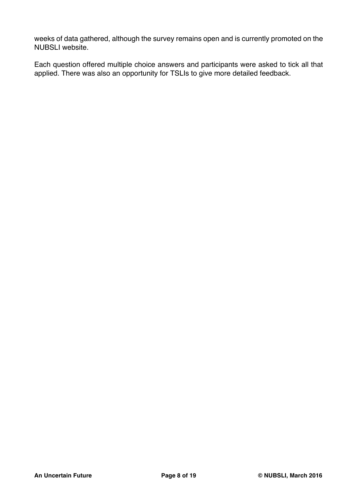weeks of data gathered, although the survey remains open and is currently promoted on the NUBSLI website.

Each question offered multiple choice answers and participants were asked to tick all that applied. There was also an opportunity for TSLIs to give more detailed feedback.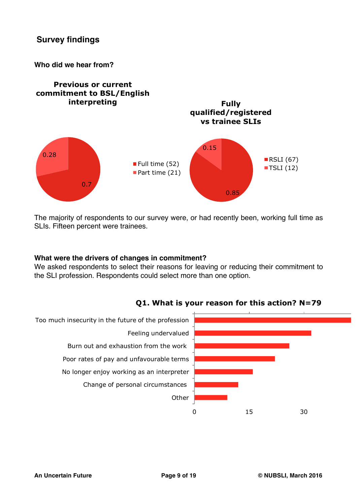**Who did we hear from?**



The majority of respondents to our survey were, or had recently been, working full time as SLIs. Fifteen percent were trainees.

## **What were the drivers of changes in commitment?**

We asked respondents to select their reasons for leaving or reducing their commitment to the SLI profession. Respondents could select more than one option.



# **Q1. What is your reason for this action? N=79**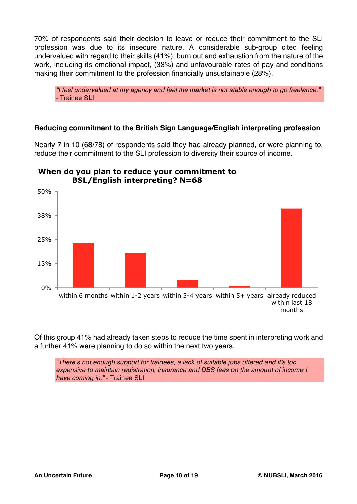70% of respondents said their decision to leave or reduce their commitment to the SLI profession was due to its insecure nature. A considerable sub-group cited feeling undervalued with regard to their skills (41%), burn out and exhaustion from the nature of the work, including its emotional impact, (33%) and unfavourable rates of pay and conditions making their commitment to the profession financially unsustainable (28%).

*"I feel undervalued at my agency and feel the market is not stable enough to go freelance."* - Trainee SLI

# **Reducing commitment to the British Sign Language/English interpreting profession**

Nearly 7 in 10 (68/78) of respondents said they had already planned, or were planning to, reduce their commitment to the SLI profession to diversity their source of income.



# **When do you plan to reduce your commitment to BSL/English interpreting? N=68**

Of this group 41% had already taken steps to reduce the time spent in interpreting work and a further 41% were planning to do so within the next two years.

*"There's not enough support for trainees, a lack of suitable jobs offered and it's too expensive to maintain registration, insurance and DBS fees on the amount of income I have coming in."* - Trainee SLI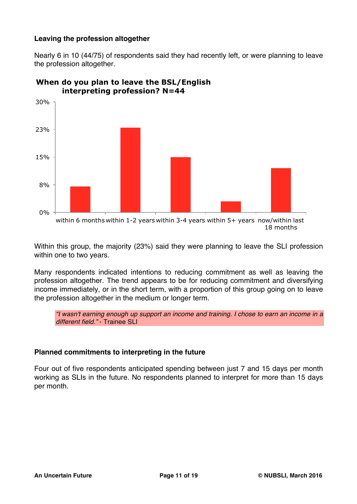# **Leaving the profession altogether**

Nearly 6 in 10 (44/75) of respondents said they had recently left, or were planning to leave the profession altogether.



# **When do you plan to leave the BSL/English interpreting profession? N=44**

Within this group, the majority (23%) said they were planning to leave the SLI profession within one to two years.

Many respondents indicated intentions to reducing commitment as well as leaving the profession altogether. The trend appears to be for reducing commitment and diversifying income immediately, or in the short term, with a proportion of this group going on to leave the profession altogether in the medium or longer term.

*"I wasn't earning enough up support an income and training. I chose to earn an income in a different field."* - Trainee SLI

# **Planned commitments to interpreting in the future**

Four out of five respondents anticipated spending between just 7 and 15 days per month working as SLIs in the future. No respondents planned to interpret for more than 15 days per month.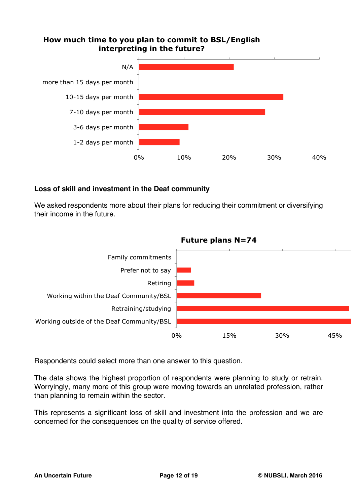# **How much time to you plan to commit to BSL/English interpreting in the future?**



# **Loss of skill and investment in the Deaf community**

We asked respondents more about their plans for reducing their commitment or diversifying their income in the future.



Respondents could select more than one answer to this question.

The data shows the highest proportion of respondents were planning to study or retrain. Worryingly, many more of this group were moving towards an unrelated profession, rather than planning to remain within the sector.

This represents a significant loss of skill and investment into the profession and we are concerned for the consequences on the quality of service offered.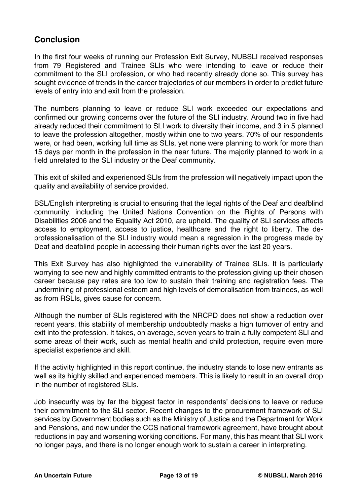# **Conclusion**

In the first four weeks of running our Profession Exit Survey, NUBSLI received responses from 79 Registered and Trainee SLIs who were intending to leave or reduce their commitment to the SLI profession, or who had recently already done so. This survey has sought evidence of trends in the career trajectories of our members in order to predict future levels of entry into and exit from the profession.

The numbers planning to leave or reduce SLI work exceeded our expectations and confirmed our growing concerns over the future of the SLI industry. Around two in five had already reduced their commitment to SLI work to diversity their income, and 3 in 5 planned to leave the profession altogether, mostly within one to two years. 70% of our respondents were, or had been, working full time as SLIs, yet none were planning to work for more than 15 days per month in the profession in the near future. The majority planned to work in a field unrelated to the SLI industry or the Deaf community.

This exit of skilled and experienced SLIs from the profession will negatively impact upon the quality and availability of service provided.

BSL/English interpreting is crucial to ensuring that the legal rights of the Deaf and deafblind community, including the United Nations Convention on the Rights of Persons with Disabilities 2006 and the Equality Act 2010, are upheld. The quality of SLI services affects access to employment, access to justice, healthcare and the right to liberty. The deprofessionalisation of the SLI industry would mean a regression in the progress made by Deaf and deafblind people in accessing their human rights over the last 20 years.

This Exit Survey has also highlighted the vulnerability of Trainee SLIs. It is particularly worrying to see new and highly committed entrants to the profession giving up their chosen career because pay rates are too low to sustain their training and registration fees. The undermining of professional esteem and high levels of demoralisation from trainees, as well as from RSLIs, gives cause for concern.

Although the number of SLIs registered with the NRCPD does not show a reduction over recent years, this stability of membership undoubtedly masks a high turnover of entry and exit into the profession. It takes, on average, seven years to train a fully competent SLI and some areas of their work, such as mental health and child protection, require even more specialist experience and skill.

If the activity highlighted in this report continue, the industry stands to lose new entrants as well as its highly skilled and experienced members. This is likely to result in an overall drop in the number of registered SLIs.

Job insecurity was by far the biggest factor in respondents' decisions to leave or reduce their commitment to the SLI sector. Recent changes to the procurement framework of SLI services by Government bodies such as the Ministry of Justice and the Department for Work and Pensions, and now under the CCS national framework agreement, have brought about reductions in pay and worsening working conditions. For many, this has meant that SLI work no longer pays, and there is no longer enough work to sustain a career in interpreting.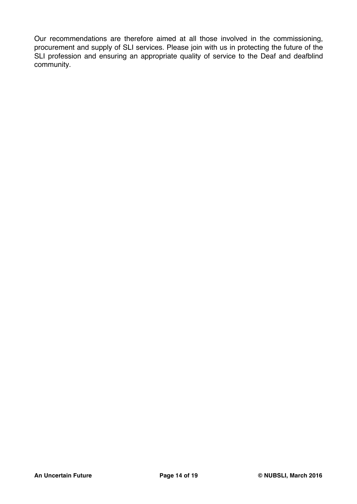Our recommendations are therefore aimed at all those involved in the commissioning, procurement and supply of SLI services. Please join with us in protecting the future of the SLI profession and ensuring an appropriate quality of service to the Deaf and deafblind community.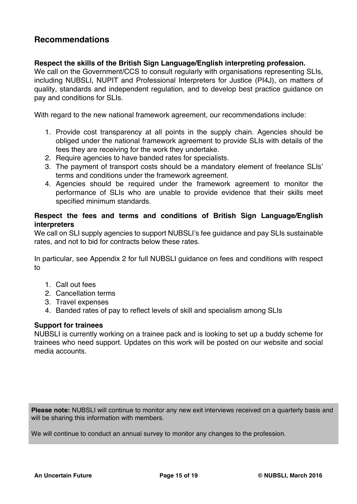# **Recommendations**

# **Respect the skills of the British Sign Language/English interpreting profession.**

We call on the Government/CCS to consult regularly with organisations representing SLIs. including NUBSLI, NUPIT and Professional Interpreters for Justice (PI4J), on matters of quality, standards and independent regulation, and to develop best practice guidance on pay and conditions for SLIs.

With regard to the new national framework agreement, our recommendations include:

- 1. Provide cost transparency at all points in the supply chain. Agencies should be obliged under the national framework agreement to provide SLIs with details of the fees they are receiving for the work they undertake.
- 2. Require agencies to have banded rates for specialists.
- 3. The payment of transport costs should be a mandatory element of freelance SLIs' terms and conditions under the framework agreement.
- 4. Agencies should be required under the framework agreement to monitor the performance of SLIs who are unable to provide evidence that their skills meet specified minimum standards.

# **Respect the fees and terms and conditions of British Sign Language/English interpreters**

We call on SLI supply agencies to support NUBSLI's fee guidance and pay SLIs sustainable rates, and not to bid for contracts below these rates.

In particular, see Appendix 2 for full NUBSLI guidance on fees and conditions with respect to

- 1. Call out fees
- 2. Cancellation terms
- 3. Travel expenses
- 4. Banded rates of pay to reflect levels of skill and specialism among SLIs

## **Support for trainees**

NUBSLI is currently working on a trainee pack and is looking to set up a buddy scheme for trainees who need support. Updates on this work will be posted on our website and social media accounts.

**Please note:** NUBSLI will continue to monitor any new exit interviews received on a quarterly basis and will be sharing this information with members.

We will continue to conduct an annual survey to monitor any changes to the profession.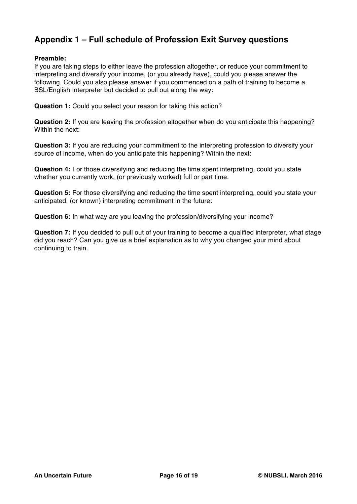# **Appendix 1 – Full schedule of Profession Exit Survey questions**

## **Preamble:**

If you are taking steps to either leave the profession altogether, or reduce your commitment to interpreting and diversify your income, (or you already have), could you please answer the following. Could you also please answer if you commenced on a path of training to become a BSL/English Interpreter but decided to pull out along the way:

**Question 1:** Could you select your reason for taking this action?

**Question 2:** If you are leaving the profession altogether when do you anticipate this happening? Within the next:

**Question 3:** If you are reducing your commitment to the interpreting profession to diversify your source of income, when do you anticipate this happening? Within the next:

**Question 4:** For those diversifying and reducing the time spent interpreting, could you state whether you currently work, (or previously worked) full or part time.

**Question 5:** For those diversifying and reducing the time spent interpreting, could you state your anticipated, (or known) interpreting commitment in the future:

**Question 6:** In what way are you leaving the profession/diversifying your income?

**Question 7:** If you decided to pull out of your training to become a qualified interpreter, what stage did you reach? Can you give us a brief explanation as to why you changed your mind about continuing to train.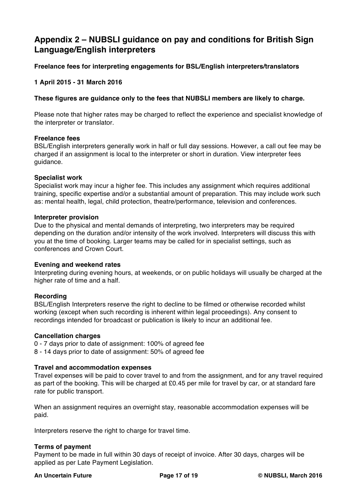# **Appendix 2 – NUBSLI guidance on pay and conditions for British Sign Language/English interpreters**

# **Freelance fees for interpreting engagements for BSL/English interpreters/translators**

# **1 April 2015 - 31 March 2016**

## **These figures are guidance only to the fees that NUBSLI members are likely to charge.**

Please note that higher rates may be charged to reflect the experience and specialist knowledge of the interpreter or translator.

#### **Freelance fees**

BSL/English interpreters generally work in half or full day sessions. However, a call out fee may be charged if an assignment is local to the interpreter or short in duration. View interpreter fees guidance.

#### **Specialist work**

Specialist work may incur a higher fee. This includes any assignment which requires additional training, specific expertise and/or a substantial amount of preparation. This may include work such as: mental health, legal, child protection, theatre/performance, television and conferences.

#### **Interpreter provision**

Due to the physical and mental demands of interpreting, two interpreters may be required depending on the duration and/or intensity of the work involved. Interpreters will discuss this with you at the time of booking. Larger teams may be called for in specialist settings, such as conferences and Crown Court.

#### **Evening and weekend rates**

Interpreting during evening hours, at weekends, or on public holidays will usually be charged at the higher rate of time and a half.

## **Recording**

BSL/English Interpreters reserve the right to decline to be filmed or otherwise recorded whilst working (except when such recording is inherent within legal proceedings). Any consent to recordings intended for broadcast or publication is likely to incur an additional fee.

#### **Cancellation charges**

0 - 7 days prior to date of assignment: 100% of agreed fee 8 - 14 days prior to date of assignment: 50% of agreed fee

## **Travel and accommodation expenses**

Travel expenses will be paid to cover travel to and from the assignment, and for any travel required as part of the booking. This will be charged at £0.45 per mile for travel by car, or at standard fare rate for public transport.

When an assignment requires an overnight stay, reasonable accommodation expenses will be paid.

Interpreters reserve the right to charge for travel time.

## **Terms of payment**

Payment to be made in full within 30 days of receipt of invoice. After 30 days, charges will be applied as per Late Payment Legislation.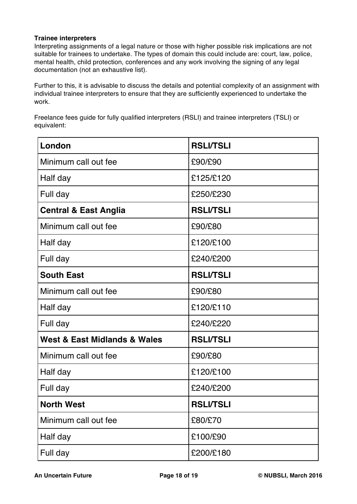## **Trainee interpreters**

Interpreting assignments of a legal nature or those with higher possible risk implications are not suitable for trainees to undertake. The types of domain this could include are: court, law, police, mental health, child protection, conferences and any work involving the signing of any legal documentation (not an exhaustive list).

Further to this, it is advisable to discuss the details and potential complexity of an assignment with individual trainee interpreters to ensure that they are sufficiently experienced to undertake the work.

Freelance fees guide for fully qualified interpreters (RSLI) and trainee interpreters (TSLI) or equivalent:

| London                                      | <b>RSLI/TSLI</b> |
|---------------------------------------------|------------------|
| Minimum call out fee                        | £90/£90          |
| Half day                                    | £125/£120        |
| Full day                                    | £250/£230        |
| <b>Central &amp; East Anglia</b>            | <b>RSLI/TSLI</b> |
| Minimum call out fee                        | £90/£80          |
| Half day                                    | £120/£100        |
| Full day                                    | £240/£200        |
| <b>South East</b>                           | <b>RSLI/TSLI</b> |
| Minimum call out fee                        | £90/£80          |
| Half day                                    | £120/£110        |
| Full day                                    | £240/£220        |
| <b>West &amp; East Midlands &amp; Wales</b> | <b>RSLI/TSLI</b> |
| Minimum call out fee                        | £90/£80          |
| Half day                                    | £120/£100        |
| Full day                                    | £240/£200        |
| <b>North West</b>                           | <b>RSLI/TSLI</b> |
| Minimum call out fee                        | £80/£70          |
| Half day                                    | £100/£90         |
| Full day                                    | £200/£180        |